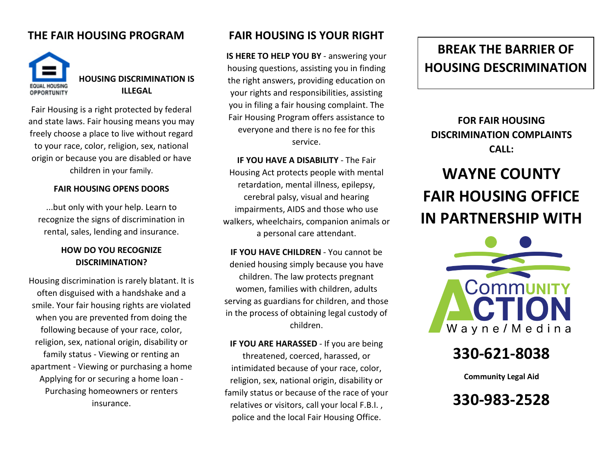## **THE FAIR HOUSING PROGRAM**



**HOUSING DISCRIMINATION IS ILLEGAL**

Fair Housing is a right protected by federal and state laws. Fair housing means you may freely choose a place to live without regard to your race, color, religion, sex, national origin or because you are disabled or have children in your family.

#### **FAIR HOUSING OPENS DOORS**

...but only with your help. Learn to recognize the signs of discrimination in rental, sales, lending and insurance.

### **HOW DO YOU RECOGNIZE DISCRIMINATION?**

Housing discrimination is rarely blatant. It is often disguised with a handshake and a smile. Your fair housing rights are violated when you are prevented from doing the following because of your race, color, religion, sex, national origin, disability or family status - Viewing or renting an apartment - Viewing or purchasing a home Applying for or securing a home loan - Purchasing homeowners or renters insurance.

### **FAIR HOUSING IS YOUR RIGHT**

**IS HERE TO HELP YOU BY** - answering your housing questions, assisting you in finding the right answers, providing education on your rights and responsibilities, assisting you in filing a fair housing complaint. The Fair Housing Program offers assistance to everyone and there is no fee for this service.

**IF YOU HAVE A DISABILITY** - The Fair Housing Act protects people with mental retardation, mental illness, epilepsy, cerebral palsy, visual and hearing impairments, AIDS and those who use walkers, wheelchairs, companion animals or a personal care attendant.

**IF YOU HAVE CHILDREN** - You cannot be denied housing simply because you have children. The law protects pregnant women, families with children, adults serving as guardians for children, and those in the process of obtaining legal custody of children.

**IF YOU ARE HARASSED** - If you are being threatened, coerced, harassed, or intimidated because of your race, color, religion, sex, national origin, disability or family status or because of the race of your relatives or visitors, call your local F.B.I. , police and the local Fair Housing Office.

## **BREAK THE BARRIER OF HOUSING DESCRIMINATION**

## **FOR FAIR HOUSING DISCRIMINATION COMPLAINTS CALL:**

# **WAYNE COUNTY FAIR HOUSING OFFICE IN PARTNERSHIP WITH**



## **330-621-8038**

**Community Legal Aid**

**330-983-2528**